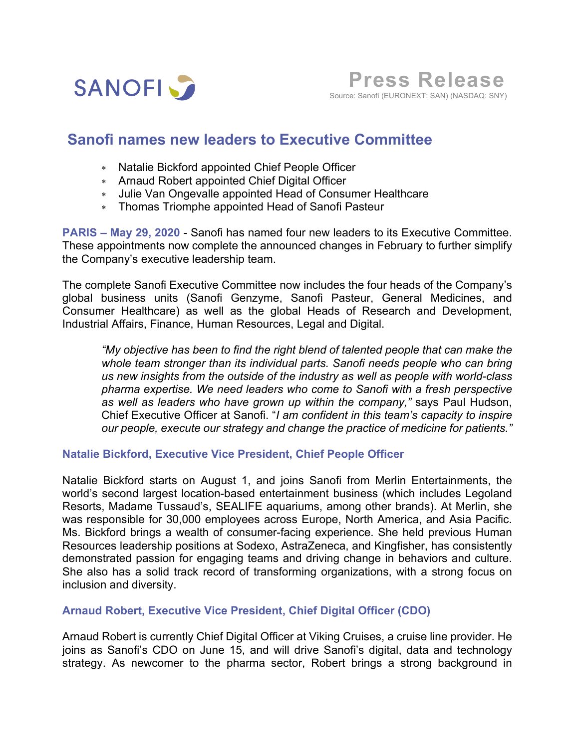

**Press Release**Source: Sanofi (EURONEXT: SAN) (NASDAQ: SNY)

# **Sanofi names new leaders to Executive Committee**

- \* Natalie Bickford appointed Chief People Officer
- \* Arnaud Robert appointed Chief Digital Officer
- \* Julie Van Ongevalle appointed Head of Consumer Healthcare
- \* Thomas Triomphe appointed Head of Sanofi Pasteur

**PARIS – May 29, 2020** - Sanofi has named four new leaders to its Executive Committee. These appointments now complete the announced changes in February to further simplify the Company's executive leadership team.

The complete Sanofi Executive Committee now includes the four heads of the Company's global business units (Sanofi Genzyme, Sanofi Pasteur, General Medicines, and Consumer Healthcare) as well as the global Heads of Research and Development, Industrial Affairs, Finance, Human Resources, Legal and Digital.

*"My objective has been to find the right blend of talented people that can make the whole team stronger than its individual parts. Sanofi needs people who can bring us new insights from the outside of the industry as well as people with world-class pharma expertise. We need leaders who come to Sanofi with a fresh perspective as well as leaders who have grown up within the company,"* says Paul Hudson, Chief Executive Officer at Sanofi. "*I am confident in this team's capacity to inspire our people, execute our strategy and change the practice of medicine for patients."*

#### **Natalie Bickford, Executive Vice President, Chief People Officer**

Natalie Bickford starts on August 1, and joins Sanofi from Merlin Entertainments, the world's second largest location-based entertainment business (which includes Legoland Resorts, Madame Tussaud's, SEALIFE aquariums, among other brands). At Merlin, she was responsible for 30,000 employees across Europe, North America, and Asia Pacific. Ms. Bickford brings a wealth of consumer-facing experience. She held previous Human Resources leadership positions at Sodexo, AstraZeneca, and Kingfisher, has consistently demonstrated passion for engaging teams and driving change in behaviors and culture. She also has a solid track record of transforming organizations, with a strong focus on inclusion and diversity.

## **Arnaud Robert, Executive Vice President, Chief Digital Officer (CDO)**

Arnaud Robert is currently Chief Digital Officer at Viking Cruises, a cruise line provider. He joins as Sanofi's CDO on June 15, and will drive Sanofi's digital, data and technology strategy. As newcomer to the pharma sector, Robert brings a strong background in